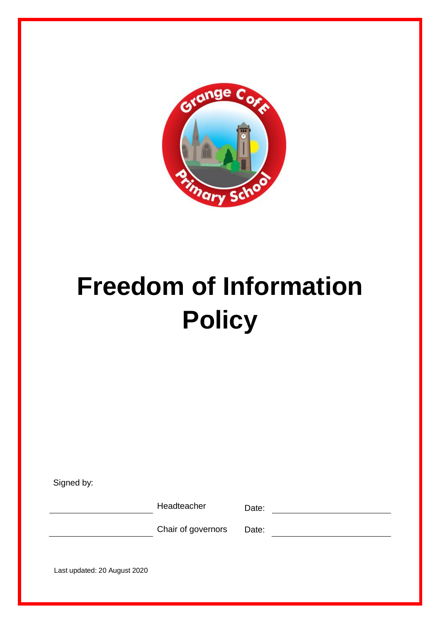

# <span id="page-0-0"></span>**Freedom of Information Policy**

| Signed by:                   |                    |       |  |
|------------------------------|--------------------|-------|--|
|                              | Headteacher        | Date: |  |
|                              | Chair of governors | Date: |  |
|                              |                    |       |  |
| Last updated: 20 August 2020 |                    |       |  |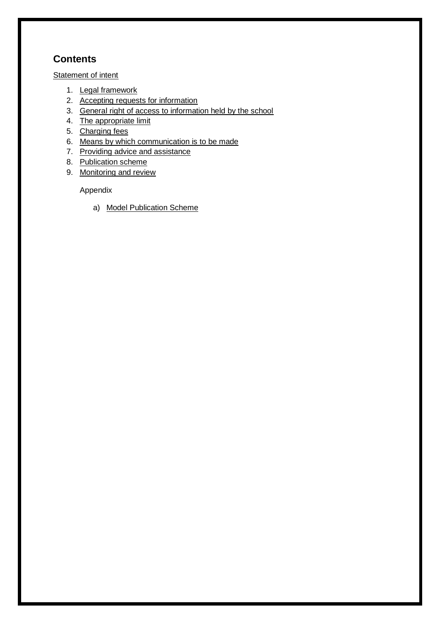# **Contents**

**[Statement of intent](#page-1-0)** 

- 1. [Legal framework](#page-0-0)
- 2. [Accepting requests for information](#page-3-0)
- 3. [General right of access to information held by the school](#page-3-1)
- 4. [The appropriate limit](#page-4-0)
- 5. [Charging fees](#page-5-0)
- 6. Means by which communication is to be made
- 7. [Providing advice and assistance](#page-5-1)
- 8. [Publication scheme](#page-8-0)
- 9. [Monitoring and review](#page-8-1)

Appendix

<span id="page-1-0"></span>a) [Model Publication Scheme](#page-9-0)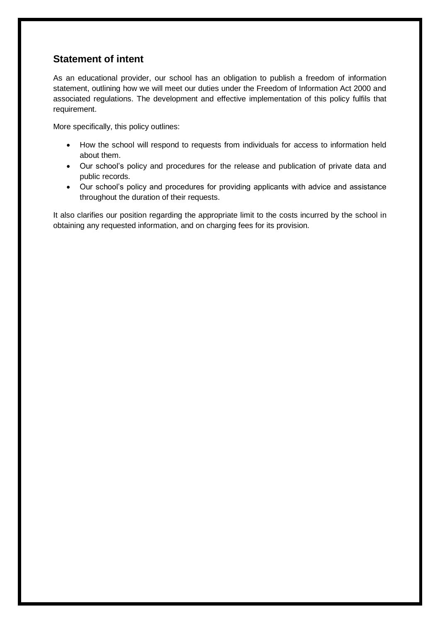# **Statement of intent**

As an educational provider, our school has an obligation to publish a freedom of information statement, outlining how we will meet our duties under the Freedom of Information Act 2000 and associated regulations. The development and effective implementation of this policy fulfils that requirement.

More specifically, this policy outlines:

- How the school will respond to requests from individuals for access to information held about them.
- Our school's policy and procedures for the release and publication of private data and public records.
- Our school's policy and procedures for providing applicants with advice and assistance throughout the duration of their requests.

It also clarifies our position regarding the appropriate limit to the costs incurred by the school in obtaining any requested information, and on charging fees for its provision.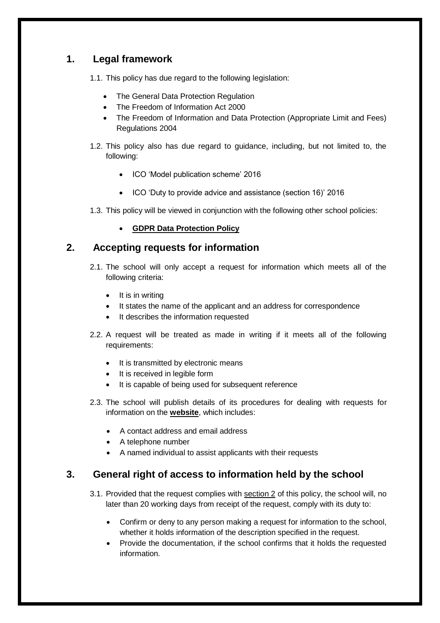# **1. Legal framework**

1.1. This policy has due regard to the following legislation:

- The General Data Protection Regulation
- The Freedom of Information Act 2000
- The Freedom of Information and Data Protection (Appropriate Limit and Fees) Regulations 2004
- 1.2. This policy also has due regard to guidance, including, but not limited to, the following:
	- ICO 'Model publication scheme' 2016
	- ICO 'Duty to provide advice and assistance (section 16)' 2016
- 1.3. This policy will be viewed in conjunction with the following other school policies:
	- **GDPR Data Protection Policy**

## <span id="page-3-0"></span>**2. Accepting requests for information**

- 2.1. The school will only accept a request for information which meets all of the following criteria:
	- $\bullet$  It is in writing
	- It states the name of the applicant and an address for correspondence
	- It describes the information requested
- 2.2. A request will be treated as made in writing if it meets all of the following requirements:
	- It is transmitted by electronic means
	- It is received in legible form
	- It is capable of being used for subsequent reference
- 2.3. The school will publish details of its procedures for dealing with requests for information on the **website**, which includes:
	- A contact address and email address
	- A telephone number
	- A named individual to assist applicants with their requests

## <span id="page-3-1"></span>**3. General right of access to information held by the school**

- 3.1. Provided that the request complies with [section 2](#page-3-0) of this policy, the school will, no later than 20 working days from receipt of the request, comply with its duty to:
	- Confirm or deny to any person making a request for information to the school, whether it holds information of the description specified in the request.
	- Provide the documentation, if the school confirms that it holds the requested information.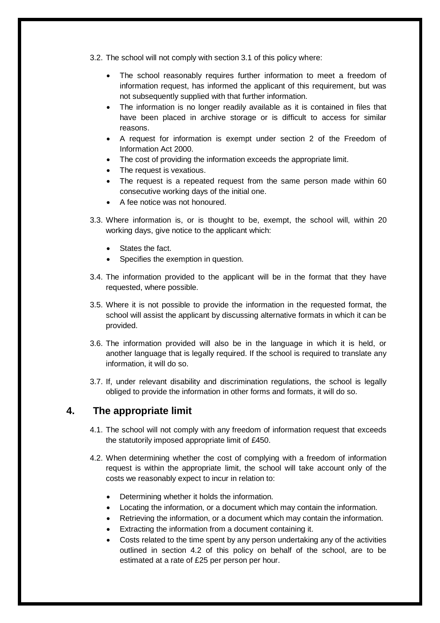3.2. The school will not comply with section 3.1 of this policy where:

- The school reasonably requires further information to meet a freedom of information request, has informed the applicant of this requirement, but was not subsequently supplied with that further information.
- The information is no longer readily available as it is contained in files that have been placed in archive storage or is difficult to access for similar reasons.
- A request for information is exempt under section 2 of the Freedom of Information Act 2000.
- The cost of providing the information exceeds the appropriate limit.
- The request is vexatious.
- The request is a repeated request from the same person made within 60 consecutive working days of the initial one.
- A fee notice was not honoured.
- 3.3. Where information is, or is thought to be, exempt, the school will, within 20 working days, give notice to the applicant which:
	- States the fact.
	- Specifies the exemption in question.
- 3.4. The information provided to the applicant will be in the format that they have requested, where possible.
- 3.5. Where it is not possible to provide the information in the requested format, the school will assist the applicant by discussing alternative formats in which it can be provided.
- 3.6. The information provided will also be in the language in which it is held, or another language that is legally required. If the school is required to translate any information, it will do so.
- 3.7. If, under relevant disability and discrimination regulations, the school is legally obliged to provide the information in other forms and formats, it will do so.

#### <span id="page-4-0"></span>**4. The appropriate limit**

- 4.1. The school will not comply with any freedom of information request that exceeds the statutorily imposed appropriate limit of £450.
- 4.2. When determining whether the cost of complying with a freedom of information request is within the appropriate limit, the school will take account only of the costs we reasonably expect to incur in relation to:
	- Determining whether it holds the information.
	- Locating the information, or a document which may contain the information.
	- Retrieving the information, or a document which may contain the information.
	- Extracting the information from a document containing it.
	- Costs related to the time spent by any person undertaking any of the activities outlined in section 4.2 of this policy on behalf of the school, are to be estimated at a rate of £25 per person per hour.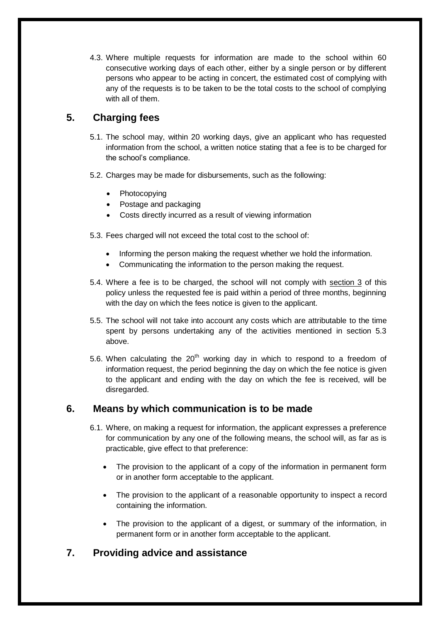4.3. Where multiple requests for information are made to the school within 60 consecutive working days of each other, either by a single person or by different persons who appear to be acting in concert, the estimated cost of complying with any of the requests is to be taken to be the total costs to the school of complying with all of them.

# <span id="page-5-0"></span>**5. Charging fees**

- 5.1. The school may, within 20 working days, give an applicant who has requested information from the school, a written notice stating that a fee is to be charged for the school's compliance.
- 5.2. Charges may be made for disbursements, such as the following:
	- Photocopying
	- Postage and packaging
	- Costs directly incurred as a result of viewing information
- 5.3. Fees charged will not exceed the total cost to the school of:
	- Informing the person making the request whether we hold the information.
	- Communicating the information to the person making the request.
- 5.4. Where a fee is to be charged, the school will not comply with [section 3](#page-3-1) of this policy unless the requested fee is paid within a period of three months, beginning with the day on which the fees notice is given to the applicant.
- 5.5. The school will not take into account any costs which are attributable to the time spent by persons undertaking any of the activities mentioned in section 5.3 above.
- 5.6. When calculating the  $20<sup>th</sup>$  working day in which to respond to a freedom of information request, the period beginning the day on which the fee notice is given to the applicant and ending with the day on which the fee is received, will be disregarded.

## **6. Means by which communication is to be made**

- 6.1. Where, on making a request for information, the applicant expresses a preference for communication by any one of the following means, the school will, as far as is practicable, give effect to that preference:
	- The provision to the applicant of a copy of the information in permanent form or in another form acceptable to the applicant.
	- The provision to the applicant of a reasonable opportunity to inspect a record containing the information.
	- The provision to the applicant of a digest, or summary of the information, in permanent form or in another form acceptable to the applicant.

# <span id="page-5-1"></span>**7. Providing advice and assistance**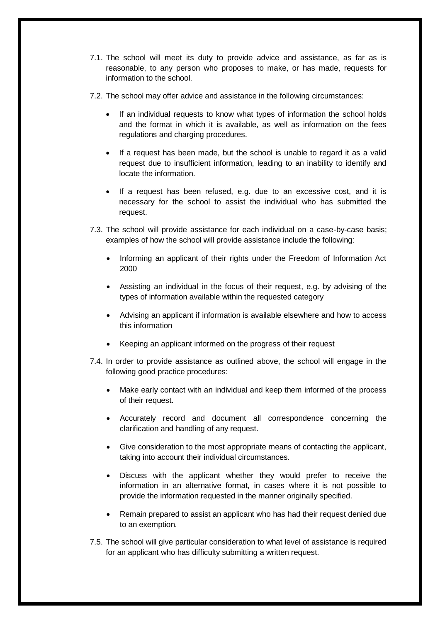- 7.1. The school will meet its duty to provide advice and assistance, as far as is reasonable, to any person who proposes to make, or has made, requests for information to the school.
- 7.2. The school may offer advice and assistance in the following circumstances:
	- If an individual requests to know what types of information the school holds and the format in which it is available, as well as information on the fees regulations and charging procedures.
	- If a request has been made, but the school is unable to regard it as a valid request due to insufficient information, leading to an inability to identify and locate the information.
	- If a request has been refused, e.g. due to an excessive cost, and it is necessary for the school to assist the individual who has submitted the request.
- 7.3. The school will provide assistance for each individual on a case-by-case basis; examples of how the school will provide assistance include the following:
	- Informing an applicant of their rights under the Freedom of Information Act 2000
	- Assisting an individual in the focus of their request, e.g. by advising of the types of information available within the requested category
	- Advising an applicant if information is available elsewhere and how to access this information
	- Keeping an applicant informed on the progress of their request
- 7.4. In order to provide assistance as outlined above, the school will engage in the following good practice procedures:
	- Make early contact with an individual and keep them informed of the process of their request.
	- Accurately record and document all correspondence concerning the clarification and handling of any request.
	- Give consideration to the most appropriate means of contacting the applicant, taking into account their individual circumstances.
	- Discuss with the applicant whether they would prefer to receive the information in an alternative format, in cases where it is not possible to provide the information requested in the manner originally specified.
	- Remain prepared to assist an applicant who has had their request denied due to an exemption.
- 7.5. The school will give particular consideration to what level of assistance is required for an applicant who has difficulty submitting a written request.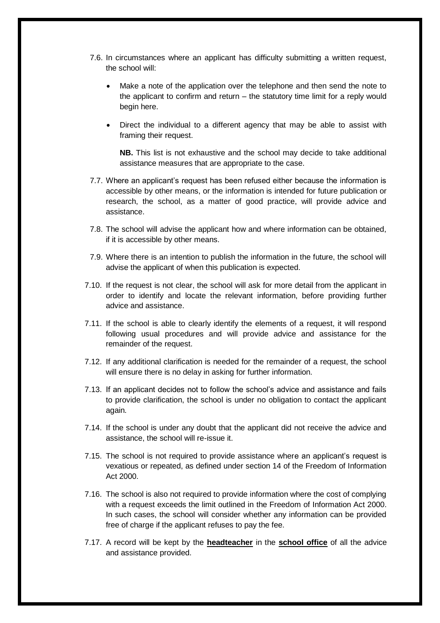- 7.6. In circumstances where an applicant has difficulty submitting a written request, the school will:
	- Make a note of the application over the telephone and then send the note to the applicant to confirm and return – the statutory time limit for a reply would begin here.
	- Direct the individual to a different agency that may be able to assist with framing their request.

**NB.** This list is not exhaustive and the school may decide to take additional assistance measures that are appropriate to the case.

- 7.7. Where an applicant's request has been refused either because the information is accessible by other means, or the information is intended for future publication or research, the school, as a matter of good practice, will provide advice and assistance.
- 7.8. The school will advise the applicant how and where information can be obtained, if it is accessible by other means.
- 7.9. Where there is an intention to publish the information in the future, the school will advise the applicant of when this publication is expected.
- 7.10. If the request is not clear, the school will ask for more detail from the applicant in order to identify and locate the relevant information, before providing further advice and assistance.
- 7.11. If the school is able to clearly identify the elements of a request, it will respond following usual procedures and will provide advice and assistance for the remainder of the request.
- 7.12. If any additional clarification is needed for the remainder of a request, the school will ensure there is no delay in asking for further information.
- 7.13. If an applicant decides not to follow the school's advice and assistance and fails to provide clarification, the school is under no obligation to contact the applicant again.
- 7.14. If the school is under any doubt that the applicant did not receive the advice and assistance, the school will re-issue it.
- 7.15. The school is not required to provide assistance where an applicant's request is vexatious or repeated, as defined under section 14 of the Freedom of Information Act 2000.
- 7.16. The school is also not required to provide information where the cost of complying with a request exceeds the limit outlined in the Freedom of Information Act 2000. In such cases, the school will consider whether any information can be provided free of charge if the applicant refuses to pay the fee.
- 7.17. A record will be kept by the **headteacher** in the **school office** of all the advice and assistance provided.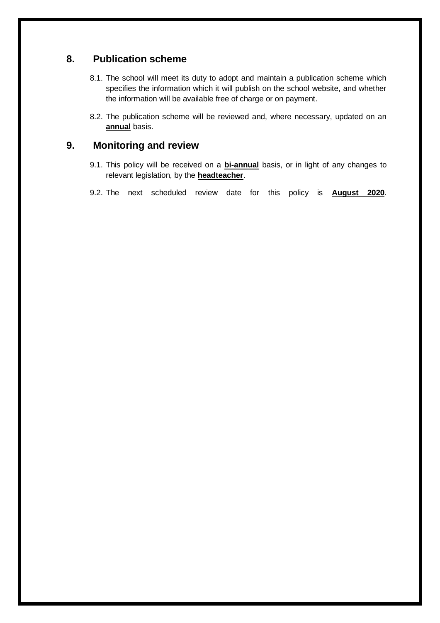## <span id="page-8-0"></span>**8. Publication scheme**

- 8.1. The school will meet its duty to adopt and maintain a publication scheme which specifies the information which it will publish on the school website, and whether the information will be available free of charge or on payment.
- 8.2. The publication scheme will be reviewed and, where necessary, updated on an **annual** basis.

## <span id="page-8-1"></span>**9. Monitoring and review**

- 9.1. This policy will be received on a **bi-annual** basis, or in light of any changes to relevant legislation, by the **headteacher**.
- 9.2. The next scheduled review date for this policy is **August 2020**.